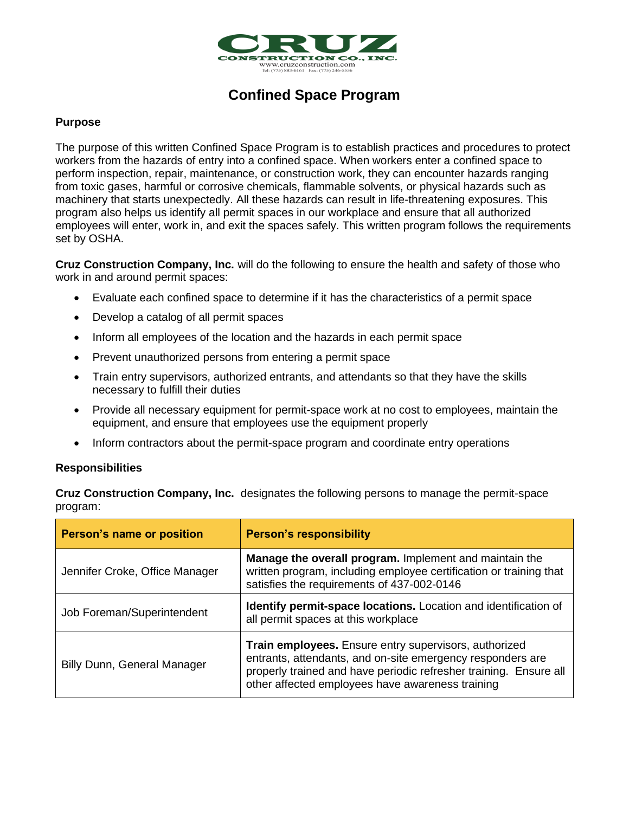

## **Confined Space Program**

#### **Purpose**

The purpose of this written Confined Space Program is to establish practices and procedures to protect workers from the hazards of entry into a confined space. When workers enter a confined space to perform inspection, repair, maintenance, or construction work, they can encounter hazards ranging from toxic gases, harmful or corrosive chemicals, flammable solvents, or physical hazards such as machinery that starts unexpectedly. All these hazards can result in life-threatening exposures. This program also helps us identify all permit spaces in our workplace and ensure that all authorized employees will enter, work in, and exit the spaces safely. This written program follows the requirements set by OSHA.

**Cruz Construction Company, Inc.** will do the following to ensure the health and safety of those who work in and around permit spaces:

- Evaluate each confined space to determine if it has the characteristics of a permit space
- Develop a catalog of all permit spaces
- Inform all employees of the location and the hazards in each permit space
- Prevent unauthorized persons from entering a permit space
- Train entry supervisors, authorized entrants, and attendants so that they have the skills necessary to fulfill their duties
- Provide all necessary equipment for permit-space work at no cost to employees, maintain the equipment, and ensure that employees use the equipment properly
- Inform contractors about the permit-space program and coordinate entry operations

#### **Responsibilities**

**Cruz Construction Company, Inc.** designates the following persons to manage the permit-space program:

| Person's name or position      | <b>Person's responsibility</b>                                                                                                                                                                                                               |  |
|--------------------------------|----------------------------------------------------------------------------------------------------------------------------------------------------------------------------------------------------------------------------------------------|--|
| Jennifer Croke, Office Manager | Manage the overall program. Implement and maintain the<br>written program, including employee certification or training that<br>satisfies the requirements of 437-002-0146                                                                   |  |
| Job Foreman/Superintendent     | Identify permit-space locations. Location and identification of<br>all permit spaces at this workplace                                                                                                                                       |  |
| Billy Dunn, General Manager    | Train employees. Ensure entry supervisors, authorized<br>entrants, attendants, and on-site emergency responders are<br>properly trained and have periodic refresher training. Ensure all<br>other affected employees have awareness training |  |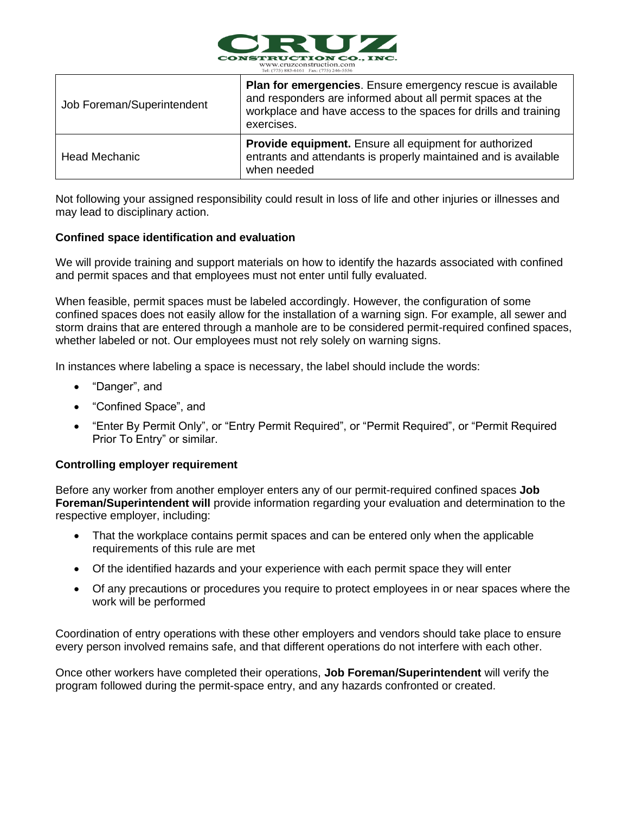

| Job Foreman/Superintendent | <b>Plan for emergencies.</b> Ensure emergency rescue is available<br>and responders are informed about all permit spaces at the<br>workplace and have access to the spaces for drills and training<br>exercises. |
|----------------------------|------------------------------------------------------------------------------------------------------------------------------------------------------------------------------------------------------------------|
| <b>Head Mechanic</b>       | Provide equipment. Ensure all equipment for authorized<br>entrants and attendants is properly maintained and is available<br>when needed                                                                         |

Not following your assigned responsibility could result in loss of life and other injuries or illnesses and may lead to disciplinary action.

#### **Confined space identification and evaluation**

We will provide training and support materials on how to identify the hazards associated with confined and permit spaces and that employees must not enter until fully evaluated.

When feasible, permit spaces must be labeled accordingly. However, the configuration of some confined spaces does not easily allow for the installation of a warning sign. For example, all sewer and storm drains that are entered through a manhole are to be considered permit-required confined spaces, whether labeled or not. Our employees must not rely solely on warning signs.

In instances where labeling a space is necessary, the label should include the words:

- "Danger", and
- "Confined Space", and
- "Enter By Permit Only", or "Entry Permit Required", or "Permit Required", or "Permit Required Prior To Entry" or similar.

#### **Controlling employer requirement**

Before any worker from another employer enters any of our permit-required confined spaces **Job Foreman/Superintendent will** provide information regarding your evaluation and determination to the respective employer, including:

- That the workplace contains permit spaces and can be entered only when the applicable requirements of this rule are met
- Of the identified hazards and your experience with each permit space they will enter
- Of any precautions or procedures you require to protect employees in or near spaces where the work will be performed

Coordination of entry operations with these other employers and vendors should take place to ensure every person involved remains safe, and that different operations do not interfere with each other.

Once other workers have completed their operations, **Job Foreman/Superintendent** will verify the program followed during the permit-space entry, and any hazards confronted or created.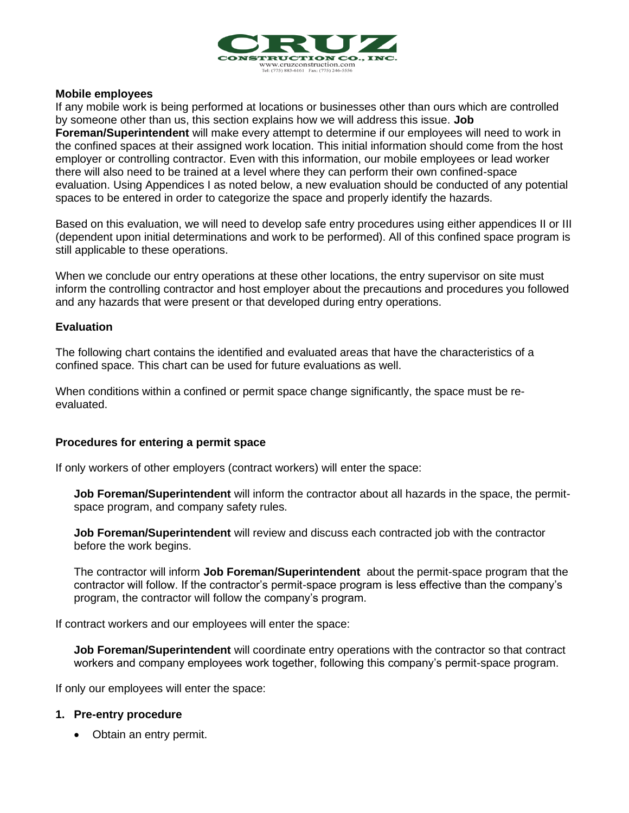

#### **Mobile employees**

If any mobile work is being performed at locations or businesses other than ours which are controlled by someone other than us, this section explains how we will address this issue. **Job Foreman/Superintendent** will make every attempt to determine if our employees will need to work in the confined spaces at their assigned work location. This initial information should come from the host employer or controlling contractor. Even with this information, our mobile employees or lead worker there will also need to be trained at a level where they can perform their own confined-space evaluation. Using Appendices I as noted below, a new evaluation should be conducted of any potential spaces to be entered in order to categorize the space and properly identify the hazards.

Based on this evaluation, we will need to develop safe entry procedures using either appendices II or III (dependent upon initial determinations and work to be performed). All of this confined space program is still applicable to these operations.

When we conclude our entry operations at these other locations, the entry supervisor on site must inform the controlling contractor and host employer about the precautions and procedures you followed and any hazards that were present or that developed during entry operations.

#### **Evaluation**

The following chart contains the identified and evaluated areas that have the characteristics of a confined space. This chart can be used for future evaluations as well.

When conditions within a confined or permit space change significantly, the space must be reevaluated.

#### **Procedures for entering a permit space**

If only workers of other employers (contract workers) will enter the space:

**Job Foreman/Superintendent** will inform the contractor about all hazards in the space, the permitspace program, and company safety rules.

**Job Foreman/Superintendent** will review and discuss each contracted job with the contractor before the work begins.

The contractor will inform **Job Foreman/Superintendent** about the permit-space program that the contractor will follow. If the contractor's permit-space program is less effective than the company's program, the contractor will follow the company's program.

If contract workers and our employees will enter the space:

**Job Foreman/Superintendent** will coordinate entry operations with the contractor so that contract workers and company employees work together, following this company's permit-space program.

If only our employees will enter the space:

#### **1. Pre-entry procedure**

• Obtain an entry permit.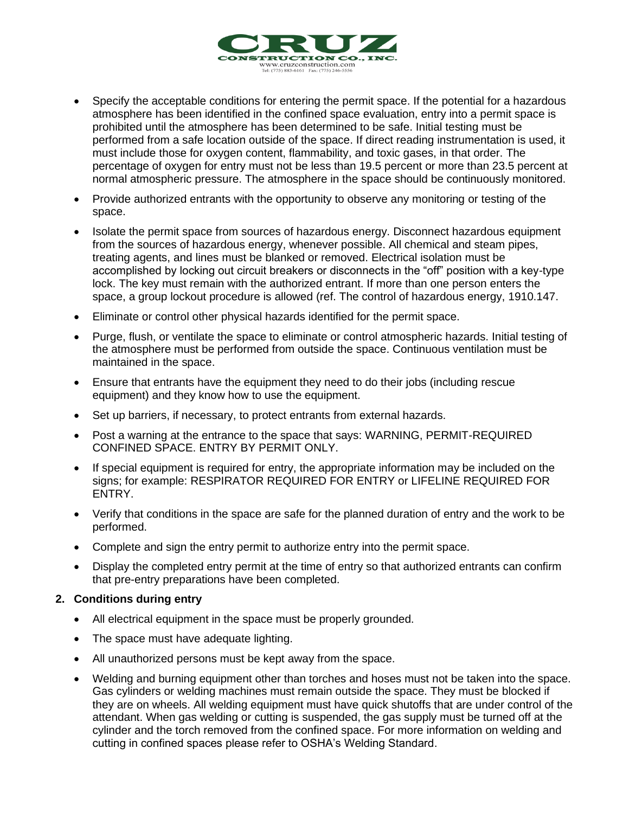

- Specify the acceptable conditions for entering the permit space. If the potential for a hazardous atmosphere has been identified in the confined space evaluation, entry into a permit space is prohibited until the atmosphere has been determined to be safe. Initial testing must be performed from a safe location outside of the space. If direct reading instrumentation is used, it must include those for oxygen content, flammability, and toxic gases, in that order. The percentage of oxygen for entry must not be less than 19.5 percent or more than 23.5 percent at normal atmospheric pressure. The atmosphere in the space should be continuously monitored.
- Provide authorized entrants with the opportunity to observe any monitoring or testing of the space.
- Isolate the permit space from sources of hazardous energy. Disconnect hazardous equipment from the sources of hazardous energy, whenever possible. All chemical and steam pipes, treating agents, and lines must be blanked or removed. Electrical isolation must be accomplished by locking out circuit breakers or disconnects in the "off" position with a key-type lock. The key must remain with the authorized entrant. If more than one person enters the space, a group lockout procedure is allowed (ref. The control of hazardous energy, 1910.147.
- Eliminate or control other physical hazards identified for the permit space.
- Purge, flush, or ventilate the space to eliminate or control atmospheric hazards. Initial testing of the atmosphere must be performed from outside the space. Continuous ventilation must be maintained in the space.
- Ensure that entrants have the equipment they need to do their jobs (including rescue equipment) and they know how to use the equipment.
- Set up barriers, if necessary, to protect entrants from external hazards.
- Post a warning at the entrance to the space that says: WARNING, PERMIT-REQUIRED CONFINED SPACE. ENTRY BY PERMIT ONLY.
- If special equipment is required for entry, the appropriate information may be included on the signs; for example: RESPIRATOR REQUIRED FOR ENTRY or LIFELINE REQUIRED FOR ENTRY.
- Verify that conditions in the space are safe for the planned duration of entry and the work to be performed.
- Complete and sign the entry permit to authorize entry into the permit space.
- Display the completed entry permit at the time of entry so that authorized entrants can confirm that pre-entry preparations have been completed.

#### **2. Conditions during entry**

- All electrical equipment in the space must be properly grounded.
- The space must have adequate lighting.
- All unauthorized persons must be kept away from the space.
- Welding and burning equipment other than torches and hoses must not be taken into the space. Gas cylinders or welding machines must remain outside the space. They must be blocked if they are on wheels. All welding equipment must have quick shutoffs that are under control of the attendant. When gas welding or cutting is suspended, the gas supply must be turned off at the cylinder and the torch removed from the confined space. For more information on welding and cutting in confined spaces please refer to OSHA's Welding Standard.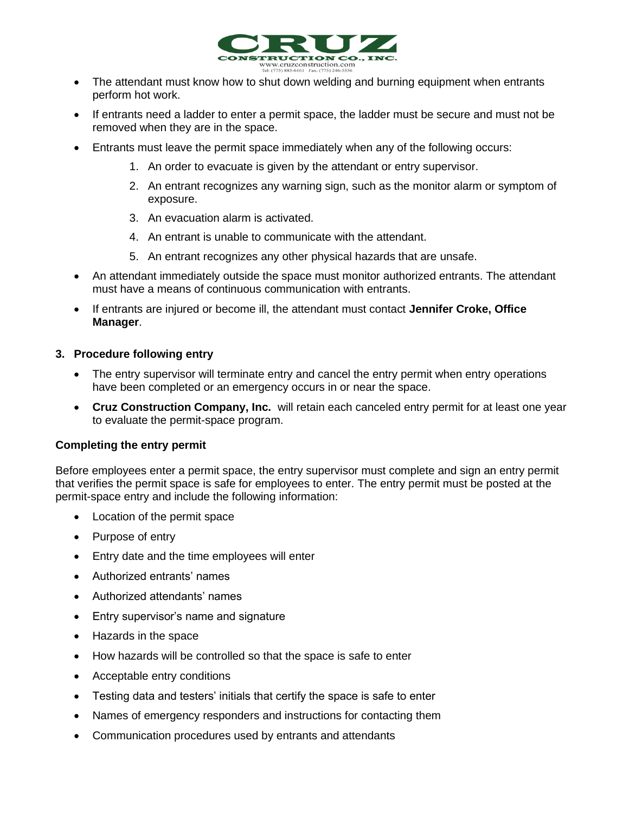

- The attendant must know how to shut down welding and burning equipment when entrants perform hot work.
- If entrants need a ladder to enter a permit space, the ladder must be secure and must not be removed when they are in the space.
- Entrants must leave the permit space immediately when any of the following occurs:
	- 1. An order to evacuate is given by the attendant or entry supervisor.
	- 2. An entrant recognizes any warning sign, such as the monitor alarm or symptom of exposure.
	- 3. An evacuation alarm is activated.
	- 4. An entrant is unable to communicate with the attendant.
	- 5. An entrant recognizes any other physical hazards that are unsafe.
- An attendant immediately outside the space must monitor authorized entrants. The attendant must have a means of continuous communication with entrants.
- If entrants are injured or become ill, the attendant must contact **Jennifer Croke, Office Manager**.

#### **3. Procedure following entry**

- The entry supervisor will terminate entry and cancel the entry permit when entry operations have been completed or an emergency occurs in or near the space.
- **Cruz Construction Company, Inc.** will retain each canceled entry permit for at least one year to evaluate the permit-space program.

#### **Completing the entry permit**

Before employees enter a permit space, the entry supervisor must complete and sign an entry permit that verifies the permit space is safe for employees to enter. The entry permit must be posted at the permit-space entry and include the following information:

- Location of the permit space
- Purpose of entry
- Entry date and the time employees will enter
- Authorized entrants' names
- Authorized attendants' names
- Entry supervisor's name and signature
- Hazards in the space
- How hazards will be controlled so that the space is safe to enter
- Acceptable entry conditions
- Testing data and testers' initials that certify the space is safe to enter
- Names of emergency responders and instructions for contacting them
- Communication procedures used by entrants and attendants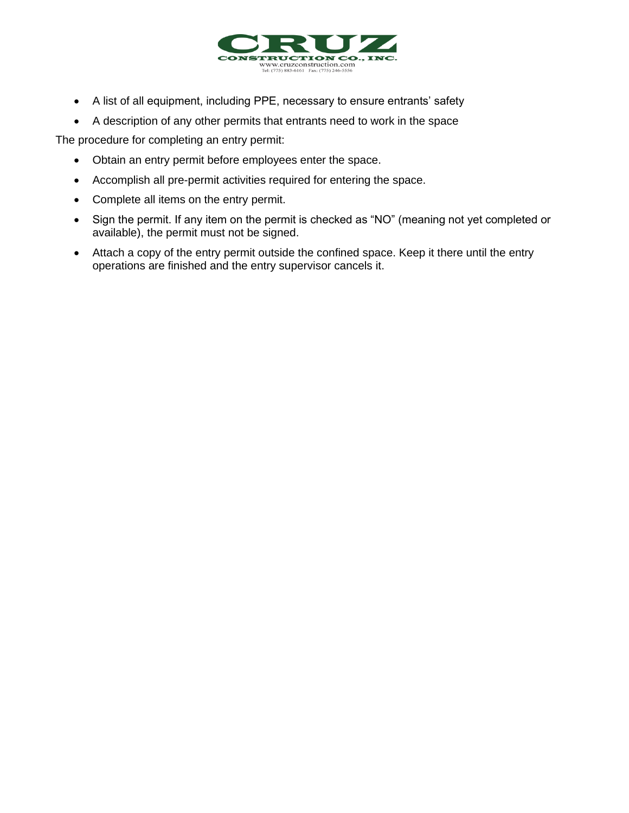

- A list of all equipment, including PPE, necessary to ensure entrants' safety
- A description of any other permits that entrants need to work in the space

The procedure for completing an entry permit:

- Obtain an entry permit before employees enter the space.
- Accomplish all pre-permit activities required for entering the space.
- Complete all items on the entry permit.
- Sign the permit. If any item on the permit is checked as "NO" (meaning not yet completed or available), the permit must not be signed.
- Attach a copy of the entry permit outside the confined space. Keep it there until the entry operations are finished and the entry supervisor cancels it.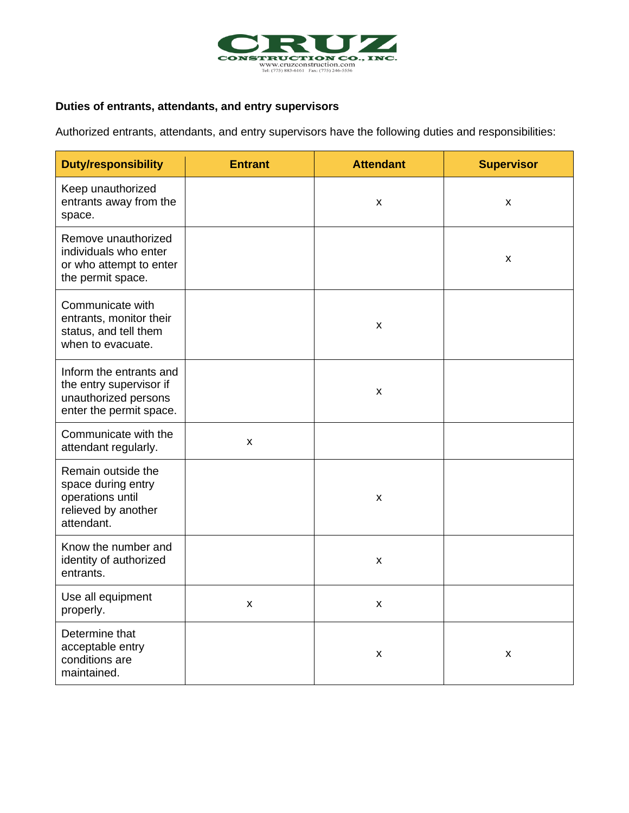

### **Duties of entrants, attendants, and entry supervisors**

Authorized entrants, attendants, and entry supervisors have the following duties and responsibilities:

| <b>Duty/responsibility</b>                                                                            | <b>Entrant</b> | <b>Attendant</b> | <b>Supervisor</b> |
|-------------------------------------------------------------------------------------------------------|----------------|------------------|-------------------|
| Keep unauthorized<br>entrants away from the<br>space.                                                 |                | X                | X                 |
| Remove unauthorized<br>individuals who enter<br>or who attempt to enter<br>the permit space.          |                |                  | X                 |
| Communicate with<br>entrants, monitor their<br>status, and tell them<br>when to evacuate.             |                | X                |                   |
| Inform the entrants and<br>the entry supervisor if<br>unauthorized persons<br>enter the permit space. |                | X                |                   |
| Communicate with the<br>attendant regularly.                                                          | X              |                  |                   |
| Remain outside the<br>space during entry<br>operations until<br>relieved by another<br>attendant.     |                | X                |                   |
| Know the number and<br>identity of authorized<br>entrants.                                            |                | X                |                   |
| Use all equipment<br>properly.                                                                        | x              | X                |                   |
| Determine that<br>acceptable entry<br>conditions are<br>maintained.                                   |                | X                | X                 |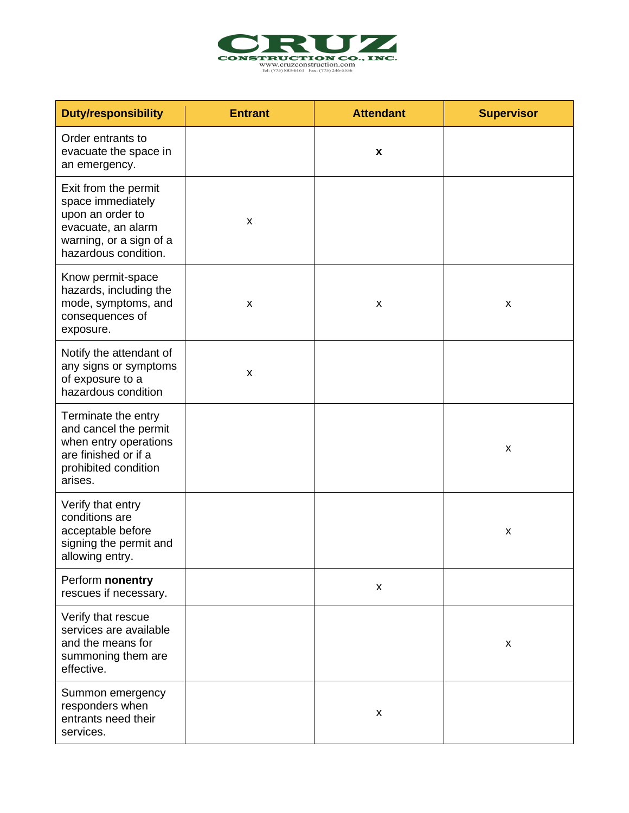

| <b>Duty/responsibility</b>                                                                                                             | <b>Entrant</b> | <b>Attendant</b>   | <b>Supervisor</b> |
|----------------------------------------------------------------------------------------------------------------------------------------|----------------|--------------------|-------------------|
| Order entrants to<br>evacuate the space in<br>an emergency.                                                                            |                | X                  |                   |
| Exit from the permit<br>space immediately<br>upon an order to<br>evacuate, an alarm<br>warning, or a sign of a<br>hazardous condition. | X              |                    |                   |
| Know permit-space<br>hazards, including the<br>mode, symptoms, and<br>consequences of<br>exposure.                                     | X              | X                  | X                 |
| Notify the attendant of<br>any signs or symptoms<br>of exposure to a<br>hazardous condition                                            | X              |                    |                   |
| Terminate the entry<br>and cancel the permit<br>when entry operations<br>are finished or if a<br>prohibited condition<br>arises.       |                |                    | X                 |
| Verify that entry<br>conditions are<br>acceptable before<br>signing the permit and<br>allowing entry.                                  |                |                    | X                 |
| Perform nonentry<br>rescues if necessary.                                                                                              |                | $\pmb{\mathsf{X}}$ |                   |
| Verify that rescue<br>services are available<br>and the means for<br>summoning them are<br>effective.                                  |                |                    | X                 |
| Summon emergency<br>responders when<br>entrants need their<br>services.                                                                |                | X                  |                   |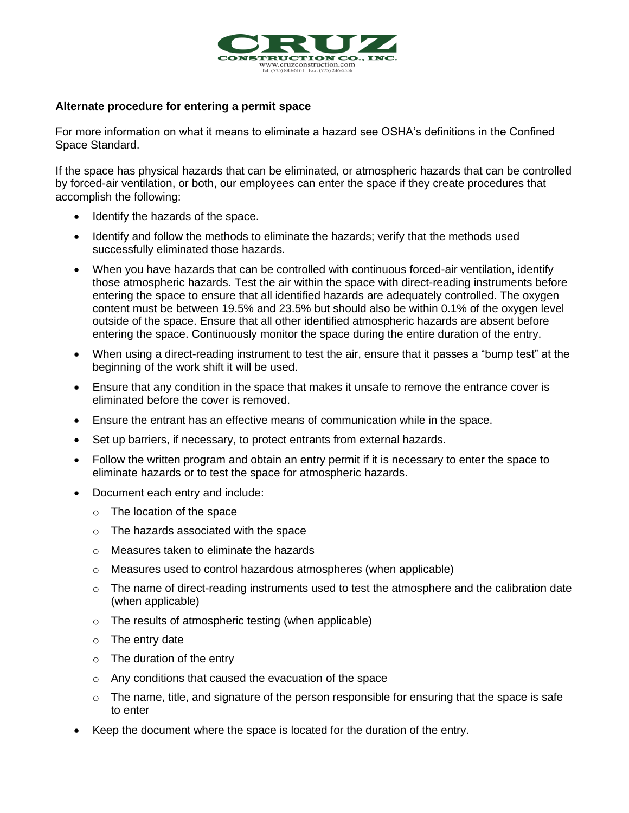

#### **Alternate procedure for entering a permit space**

For more information on what it means to eliminate a hazard see OSHA's definitions in the Confined Space Standard.

If the space has physical hazards that can be eliminated, or atmospheric hazards that can be controlled by forced-air ventilation, or both, our employees can enter the space if they create procedures that accomplish the following:

- Identify the hazards of the space.
- Identify and follow the methods to eliminate the hazards; verify that the methods used successfully eliminated those hazards.
- When you have hazards that can be controlled with continuous forced-air ventilation, identify those atmospheric hazards. Test the air within the space with direct-reading instruments before entering the space to ensure that all identified hazards are adequately controlled. The oxygen content must be between 19.5% and 23.5% but should also be within 0.1% of the oxygen level outside of the space. Ensure that all other identified atmospheric hazards are absent before entering the space. Continuously monitor the space during the entire duration of the entry.
- When using a direct-reading instrument to test the air, ensure that it passes a "bump test" at the beginning of the work shift it will be used.
- Ensure that any condition in the space that makes it unsafe to remove the entrance cover is eliminated before the cover is removed.
- Ensure the entrant has an effective means of communication while in the space.
- Set up barriers, if necessary, to protect entrants from external hazards.
- Follow the written program and obtain an entry permit if it is necessary to enter the space to eliminate hazards or to test the space for atmospheric hazards.
- Document each entry and include:
	- o The location of the space
	- o The hazards associated with the space
	- o Measures taken to eliminate the hazards
	- $\circ$  Measures used to control hazardous atmospheres (when applicable)
	- $\circ$  The name of direct-reading instruments used to test the atmosphere and the calibration date (when applicable)
	- o The results of atmospheric testing (when applicable)
	- $\circ$  The entry date
	- o The duration of the entry
	- o Any conditions that caused the evacuation of the space
	- $\circ$  The name, title, and signature of the person responsible for ensuring that the space is safe to enter
- Keep the document where the space is located for the duration of the entry.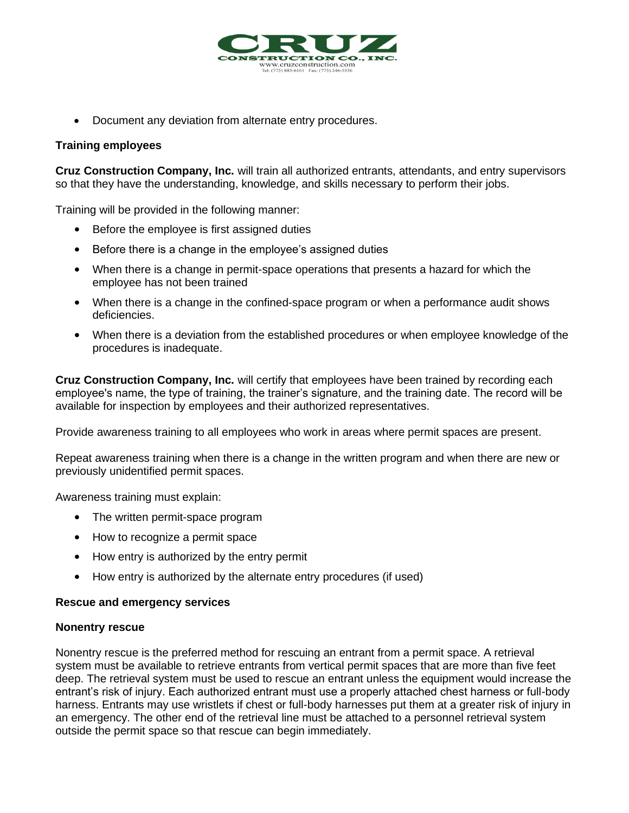

• Document any deviation from alternate entry procedures.

#### **Training employees**

**Cruz Construction Company, Inc.** will train all authorized entrants, attendants, and entry supervisors so that they have the understanding, knowledge, and skills necessary to perform their jobs.

Training will be provided in the following manner:

- Before the employee is first assigned duties
- Before there is a change in the employee's assigned duties
- When there is a change in permit-space operations that presents a hazard for which the employee has not been trained
- When there is a change in the confined-space program or when a performance audit shows deficiencies.
- When there is a deviation from the established procedures or when employee knowledge of the procedures is inadequate.

**Cruz Construction Company, Inc.** will certify that employees have been trained by recording each employee's name, the type of training, the trainer's signature, and the training date. The record will be available for inspection by employees and their authorized representatives.

Provide awareness training to all employees who work in areas where permit spaces are present.

Repeat awareness training when there is a change in the written program and when there are new or previously unidentified permit spaces.

Awareness training must explain:

- The written permit-space program
- How to recognize a permit space
- How entry is authorized by the entry permit
- How entry is authorized by the alternate entry procedures (if used)

#### **Rescue and emergency services**

#### **Nonentry rescue**

Nonentry rescue is the preferred method for rescuing an entrant from a permit space. A retrieval system must be available to retrieve entrants from vertical permit spaces that are more than five feet deep. The retrieval system must be used to rescue an entrant unless the equipment would increase the entrant's risk of injury. Each authorized entrant must use a properly attached chest harness or full-body harness. Entrants may use wristlets if chest or full-body harnesses put them at a greater risk of injury in an emergency. The other end of the retrieval line must be attached to a personnel retrieval system outside the permit space so that rescue can begin immediately.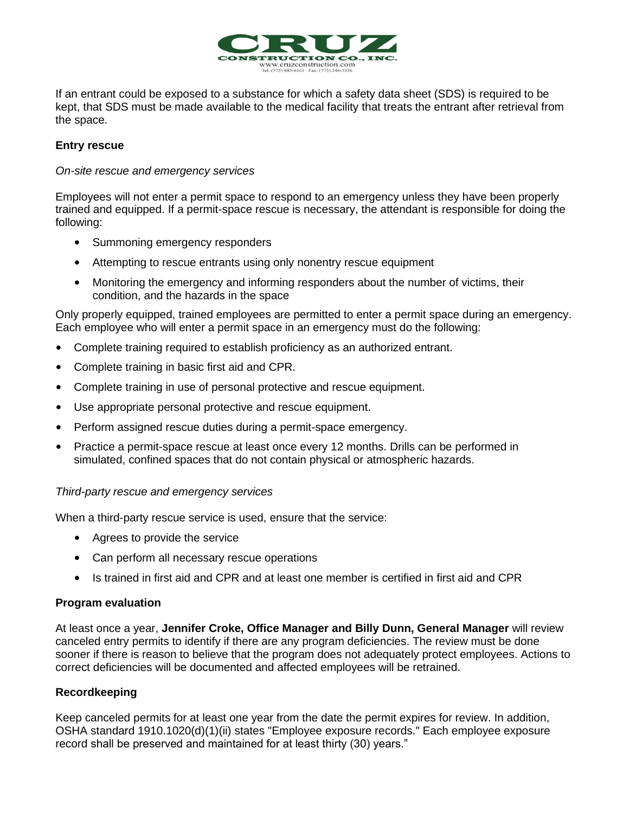

If an entrant could be exposed to a substance for which a safety data sheet (SDS) is required to be kept, that SDS must be made available to the medical facility that treats the entrant after retrieval from the space.

#### **Entry rescue**

#### *On-site rescue and emergency services*

Employees will not enter a permit space to respond to an emergency unless they have been properly trained and equipped. If a permit-space rescue is necessary, the attendant is responsible for doing the following:

- Summoning emergency responders
- Attempting to rescue entrants using only nonentry rescue equipment
- Monitoring the emergency and informing responders about the number of victims, their condition, and the hazards in the space

Only properly equipped, trained employees are permitted to enter a permit space during an emergency. Each employee who will enter a permit space in an emergency must do the following:

- Complete training required to establish proficiency as an authorized entrant.
- Complete training in basic first aid and CPR.
- Complete training in use of personal protective and rescue equipment.
- Use appropriate personal protective and rescue equipment.
- Perform assigned rescue duties during a permit-space emergency.
- Practice a permit-space rescue at least once every 12 months. Drills can be performed in simulated, confined spaces that do not contain physical or atmospheric hazards.

#### *Third-party rescue and emergency services*

When a third-party rescue service is used, ensure that the service:

- Agrees to provide the service
- Can perform all necessary rescue operations
- Is trained in first aid and CPR and at least one member is certified in first aid and CPR

#### **Program evaluation**

At least once a year, **Jennifer Croke, Office Manager and Billy Dunn, General Manager** will review canceled entry permits to identify if there are any program deficiencies. The review must be done sooner if there is reason to believe that the program does not adequately protect employees. Actions to correct deficiencies will be documented and affected employees will be retrained.

#### **Recordkeeping**

Keep canceled permits for at least one year from the date the permit expires for review. In addition, OSHA standard 1910.1020(d)(1)(ii) states "Employee exposure records." Each employee exposure record shall be preserved and maintained for at least thirty (30) years."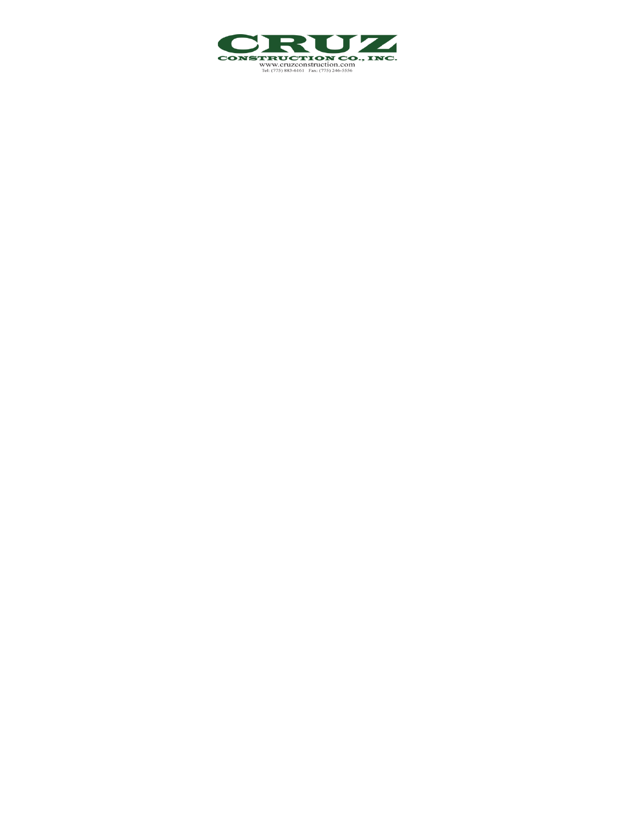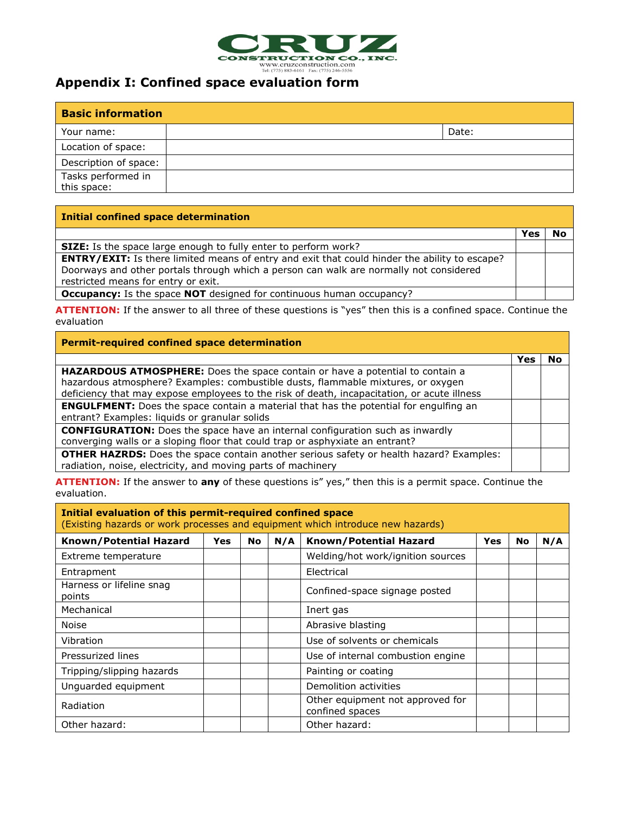

### **Appendix I: Confined space evaluation form**

| <b>Basic information</b> |  |       |  |  |
|--------------------------|--|-------|--|--|
| Your name:               |  | Date: |  |  |
| Location of space:       |  |       |  |  |
| Description of space:    |  |       |  |  |
| Tasks performed in       |  |       |  |  |
| this space:              |  |       |  |  |

#### **Initial confined space determination**

|                                                                                                                                                                                                                                       | Yes | No |
|---------------------------------------------------------------------------------------------------------------------------------------------------------------------------------------------------------------------------------------|-----|----|
| <b>SIZE:</b> Is the space large enough to fully enter to perform work?                                                                                                                                                                |     |    |
| <b>ENTRY/EXIT:</b> Is there limited means of entry and exit that could hinder the ability to escape?<br>Doorways and other portals through which a person can walk are normally not considered<br>restricted means for entry or exit. |     |    |
| <b>Occupancy:</b> Is the space <b>NOT</b> designed for continuous human occupancy?                                                                                                                                                    |     |    |

**ATTENTION:** If the answer to all three of these questions is "yes" then this is a confined space. Continue the evaluation

| Permit-required confined space determination                                                                                                                                                                                                                            |     |    |  |  |
|-------------------------------------------------------------------------------------------------------------------------------------------------------------------------------------------------------------------------------------------------------------------------|-----|----|--|--|
|                                                                                                                                                                                                                                                                         | Yes | No |  |  |
| <b>HAZARDOUS ATMOSPHERE:</b> Does the space contain or have a potential to contain a<br>hazardous atmosphere? Examples: combustible dusts, flammable mixtures, or oxygen<br>deficiency that may expose employees to the risk of death, incapacitation, or acute illness |     |    |  |  |
| <b>ENGULFMENT:</b> Does the space contain a material that has the potential for engulfing an<br>entrant? Examples: liquids or granular solids                                                                                                                           |     |    |  |  |
| <b>CONFIGURATION:</b> Does the space have an internal configuration such as inwardly<br>converging walls or a sloping floor that could trap or asphyxiate an entrant?                                                                                                   |     |    |  |  |
| <b>OTHER HAZRDS:</b> Does the space contain another serious safety or health hazard? Examples:<br>radiation, noise, electricity, and moving parts of machinery                                                                                                          |     |    |  |  |

**ATTENTION:** If the answer to **any** of these questions is" yes," then this is a permit space. Continue the evaluation.

| Initial evaluation of this permit-required confined space<br>(Existing hazards or work processes and equipment which introduce new hazards) |  |  |  |                                                     |     |  |  |
|---------------------------------------------------------------------------------------------------------------------------------------------|--|--|--|-----------------------------------------------------|-----|--|--|
| <b>Known/Potential Hazard</b><br>Known/Potential Hazard<br>N/A<br>Yes<br><b>Yes</b><br>No                                                   |  |  |  | <b>No</b>                                           | N/A |  |  |
| Extreme temperature                                                                                                                         |  |  |  | Welding/hot work/ignition sources                   |     |  |  |
| Entrapment                                                                                                                                  |  |  |  | Electrical                                          |     |  |  |
| Harness or lifeline snag<br>points                                                                                                          |  |  |  | Confined-space signage posted                       |     |  |  |
| Mechanical                                                                                                                                  |  |  |  | Inert gas                                           |     |  |  |
| <b>Noise</b>                                                                                                                                |  |  |  | Abrasive blasting                                   |     |  |  |
| Vibration                                                                                                                                   |  |  |  | Use of solvents or chemicals                        |     |  |  |
| Pressurized lines                                                                                                                           |  |  |  | Use of internal combustion engine                   |     |  |  |
| Tripping/slipping hazards                                                                                                                   |  |  |  | Painting or coating                                 |     |  |  |
| Unguarded equipment                                                                                                                         |  |  |  | Demolition activities                               |     |  |  |
| Radiation                                                                                                                                   |  |  |  | Other equipment not approved for<br>confined spaces |     |  |  |
| Other hazard:                                                                                                                               |  |  |  | Other hazard:                                       |     |  |  |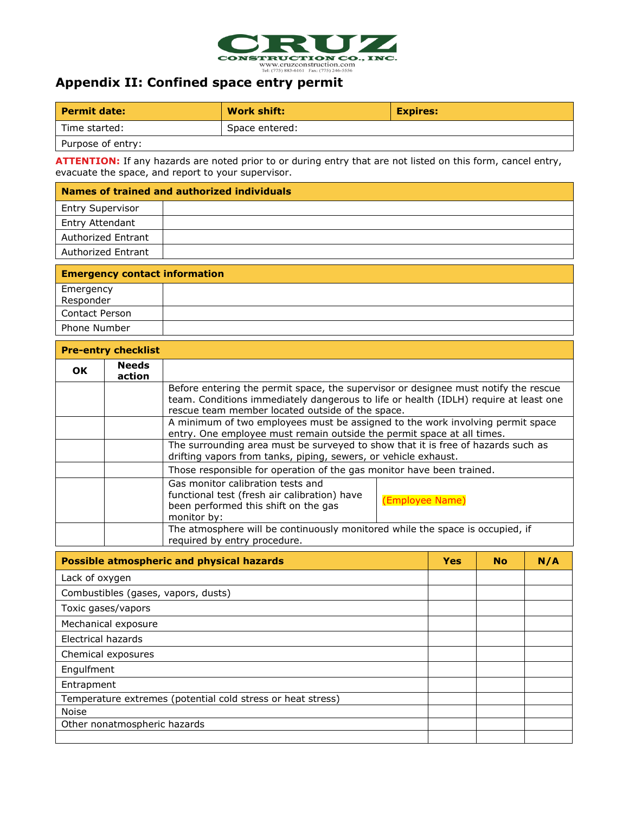

# **Appendix II: Confined space entry permit**

| Permit date:      | Work shift:    | <b>Expires:</b> |  |  |
|-------------------|----------------|-----------------|--|--|
| Time started:     | Space entered: |                 |  |  |
| Purpose of entry: |                |                 |  |  |

**ATTENTION:** If any hazards are noted prior to or during entry that are not listed on this form, cancel entry, evacuate the space, and report to your supervisor.

| Names of trained and authorized individuals |  |  |  |
|---------------------------------------------|--|--|--|
|                                             |  |  |  |
|                                             |  |  |  |
|                                             |  |  |  |
|                                             |  |  |  |
|                                             |  |  |  |

| <b>Emergency contact information</b> |  |  |  |
|--------------------------------------|--|--|--|
| Emergency                            |  |  |  |
| Responder                            |  |  |  |
| <b>Contact Person</b>                |  |  |  |
| Phone Number                         |  |  |  |

|    | <b>Pre-entry checklist</b> |                                                                                                                                                                                                                                 |                 |  |
|----|----------------------------|---------------------------------------------------------------------------------------------------------------------------------------------------------------------------------------------------------------------------------|-----------------|--|
| OK | <b>Needs</b><br>action     |                                                                                                                                                                                                                                 |                 |  |
|    |                            | Before entering the permit space, the supervisor or designee must notify the rescue<br>team. Conditions immediately dangerous to life or health (IDLH) require at least one<br>rescue team member located outside of the space. |                 |  |
|    |                            | A minimum of two employees must be assigned to the work involving permit space<br>entry. One employee must remain outside the permit space at all times.                                                                        |                 |  |
|    |                            | The surrounding area must be surveyed to show that it is free of hazards such as<br>drifting vapors from tanks, piping, sewers, or vehicle exhaust.                                                                             |                 |  |
|    |                            | Those responsible for operation of the gas monitor have been trained.                                                                                                                                                           |                 |  |
|    |                            | Gas monitor calibration tests and<br>functional test (fresh air calibration) have<br>been performed this shift on the gas<br>monitor by:                                                                                        | (Employee Name) |  |
|    |                            | The atmosphere will be continuously monitored while the space is occupied, if<br>required by entry procedure.                                                                                                                   |                 |  |

| <b>Possible atmospheric and physical hazards</b>            | <b>Yes</b> | <b>No</b> | N/A |
|-------------------------------------------------------------|------------|-----------|-----|
| Lack of oxygen                                              |            |           |     |
| Combustibles (gases, vapors, dusts)                         |            |           |     |
| Toxic gases/vapors                                          |            |           |     |
| Mechanical exposure                                         |            |           |     |
| Electrical hazards                                          |            |           |     |
| Chemical exposures                                          |            |           |     |
| Engulfment                                                  |            |           |     |
| Entrapment                                                  |            |           |     |
| Temperature extremes (potential cold stress or heat stress) |            |           |     |
| <b>Noise</b>                                                |            |           |     |
| Other nonatmospheric hazards                                |            |           |     |
|                                                             |            |           |     |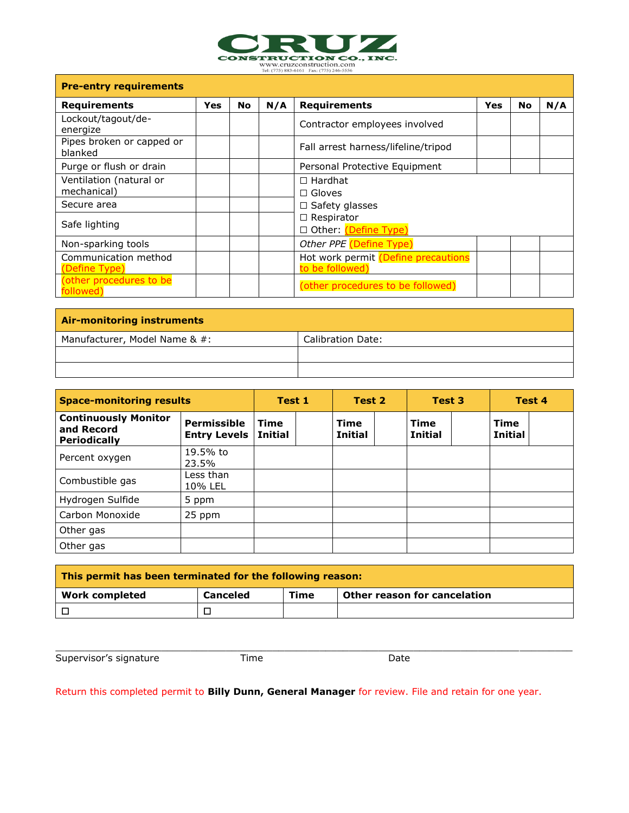

WWW.Cruzconstruction.com

| <b>Pre-entry requirements</b>          |     |           |     |                                                        |            |           |     |
|----------------------------------------|-----|-----------|-----|--------------------------------------------------------|------------|-----------|-----|
| <b>Requirements</b>                    | Yes | <b>No</b> | N/A | <b>Requirements</b>                                    | <b>Yes</b> | <b>No</b> | N/A |
| Lockout/tagout/de-<br>energize         |     |           |     | Contractor employees involved                          |            |           |     |
| Pipes broken or capped or<br>blanked   |     |           |     | Fall arrest harness/lifeline/tripod                    |            |           |     |
| Purge or flush or drain                |     |           |     | Personal Protective Equipment                          |            |           |     |
| Ventilation (natural or<br>mechanical) |     |           |     | $\Box$ Hardhat<br>$\Box$ Gloves                        |            |           |     |
| Secure area                            |     |           |     | $\Box$ Safety glasses                                  |            |           |     |
| Safe lighting                          |     |           |     | $\Box$ Respirator<br>□ Other: (Define Type)            |            |           |     |
| Non-sparking tools                     |     |           |     | Other PPE (Define Type)                                |            |           |     |
| Communication method<br>(Define Type)  |     |           |     | Hot work permit (Define precautions<br>to be followed) |            |           |     |
| (other procedures to be<br>followed)   |     |           |     | (other procedures to be followed)                      |            |           |     |

| <b>Air-monitoring instruments</b> |                          |  |  |  |  |  |
|-----------------------------------|--------------------------|--|--|--|--|--|
| Manufacturer, Model Name & #:     | <b>Calibration Date:</b> |  |  |  |  |  |
|                                   |                          |  |  |  |  |  |
|                                   |                          |  |  |  |  |  |

| <b>Space-monitoring results</b>                                  |                                    | Test 1          |  | Test 2                        |  | Test 3                        |  | Test 4                        |  |
|------------------------------------------------------------------|------------------------------------|-----------------|--|-------------------------------|--|-------------------------------|--|-------------------------------|--|
| <b>Continuously Monitor</b><br>and Record<br><b>Periodically</b> | Permissible<br><b>Entry Levels</b> | Time<br>Initial |  | <b>Time</b><br><b>Initial</b> |  | <b>Time</b><br><b>Initial</b> |  | <b>Time</b><br><b>Initial</b> |  |
| Percent oxygen                                                   | 19.5% to<br>23.5%                  |                 |  |                               |  |                               |  |                               |  |
| Combustible gas                                                  | Less than<br>10% LEL               |                 |  |                               |  |                               |  |                               |  |
| Hydrogen Sulfide                                                 | 5 ppm                              |                 |  |                               |  |                               |  |                               |  |
| Carbon Monoxide                                                  | 25 ppm                             |                 |  |                               |  |                               |  |                               |  |
| Other gas                                                        |                                    |                 |  |                               |  |                               |  |                               |  |
| Other gas                                                        |                                    |                 |  |                               |  |                               |  |                               |  |

| This permit has been terminated for the following reason: |          |      |                              |  |  |  |
|-----------------------------------------------------------|----------|------|------------------------------|--|--|--|
| Work completed                                            | Canceled | Time | Other reason for cancelation |  |  |  |
| ∣⊓                                                        |          |      |                              |  |  |  |

\_\_\_\_\_\_\_\_\_\_\_\_\_\_\_\_\_\_\_\_\_\_\_\_\_\_\_\_\_\_\_\_\_\_\_\_\_\_\_\_\_\_\_\_\_\_\_\_\_\_\_\_\_\_\_\_\_\_\_\_\_\_\_\_\_\_\_\_\_\_\_\_\_\_\_\_\_\_\_\_\_\_\_\_\_\_\_\_

Supervisor's signature Time Date

Return this completed permit to **Billy Dunn, General Manager** for review. File and retain for one year.